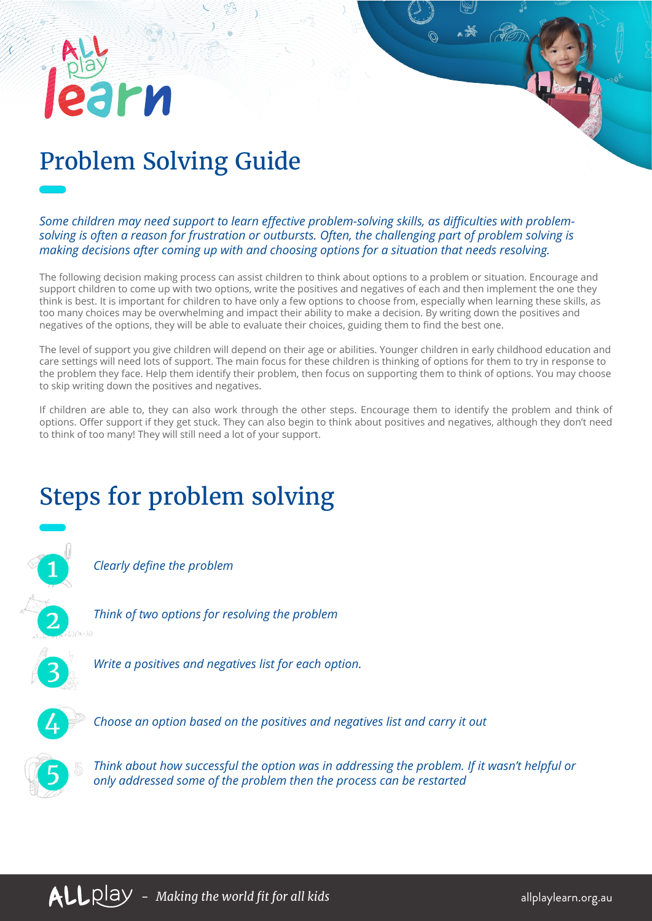## Problem Solving Guide

**PM** 

*Some children may need support to learn effective problem-solving skills, as difficulties with problemsolving is often a reason for frustration or outbursts. Often, the challenging part of problem solving is making decisions after coming up with and choosing options for a situation that needs resolving.* 

The following decision making process can assist children to think about options to a problem or situation. Encourage and support children to come up with two options, write the positives and negatives of each and then implement the one they think is best. It is important for children to have only a few options to choose from, especially when learning these skills, as too many choices may be overwhelming and impact their ability to make a decision. By writing down the positives and negatives of the options, they will be able to evaluate their choices, guiding them to find the best one.

The level of support you give children will depend on their age or abilities. Younger children in early childhood education and care settings will need lots of support. The main focus for these children is thinking of options for them to try in response to the problem they face. Help them identify their problem, then focus on supporting them to think of options. You may choose to skip writing down the positives and negatives.

If children are able to, they can also work through the other steps. Encourage them to identify the problem and think of options. Offer support if they get stuck. They can also begin to think about positives and negatives, although they don't need to think of too many! They will still need a lot of your support.

## Steps for problem solving



*Clearly define the problem*



*Think of two options for resolving the problem*



*Write a positives and negatives list for each option.* 



*Choose an option based on the positives and negatives list and carry it out*



*Think about how successful the option was in addressing the problem. If it wasn't helpful or only addressed some of the problem then the process can be restarted*